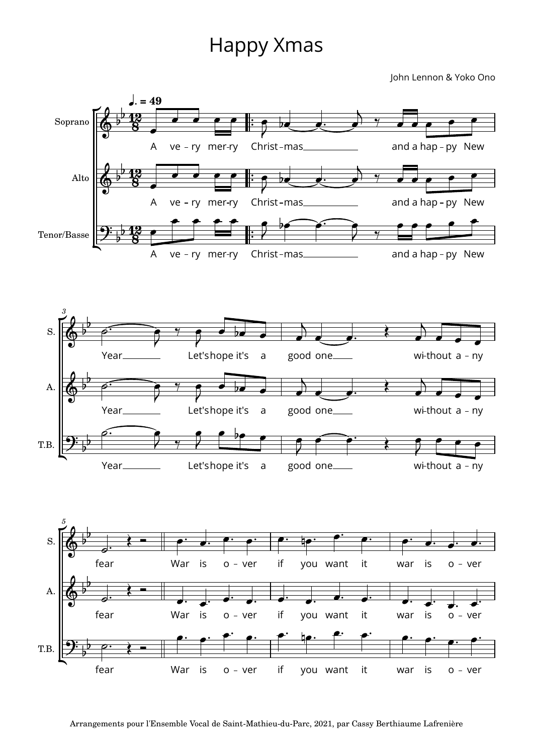## Happy Xmas

John Lennon & Yoko Ono